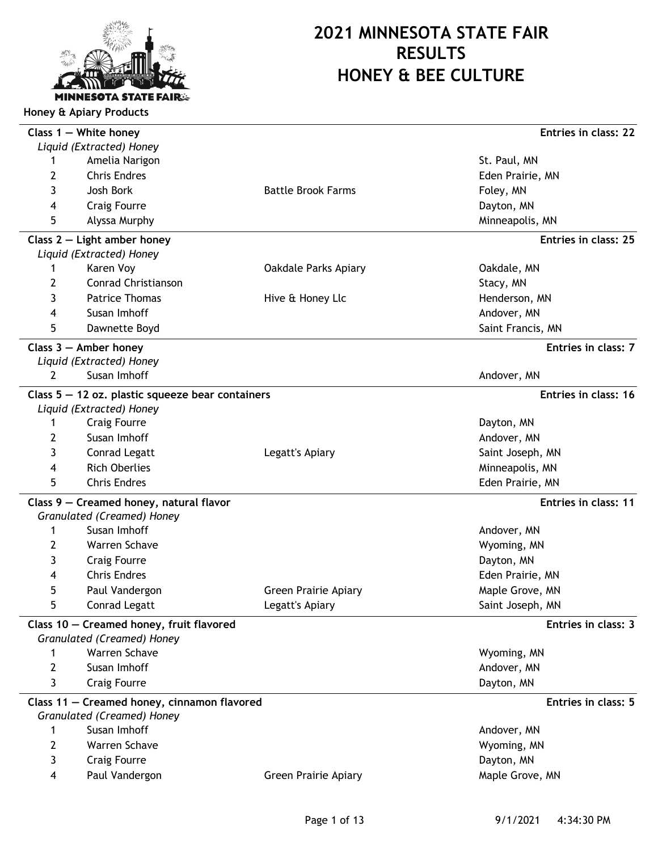

|   | Class $1 -$ White honey<br>Liquid (Extracted) Honey |                             | Entries in class: 22 |
|---|-----------------------------------------------------|-----------------------------|----------------------|
| 1 | Amelia Narigon                                      |                             | St. Paul, MN         |
| 2 | <b>Chris Endres</b>                                 |                             | Eden Prairie, MN     |
| 3 | Josh Bork                                           | <b>Battle Brook Farms</b>   | Foley, MN            |
| 4 | <b>Craig Fourre</b>                                 |                             | Dayton, MN           |
| 5 | Alyssa Murphy                                       |                             | Minneapolis, MN      |
|   | Class $2$ – Light amber honey                       |                             | Entries in class: 25 |
|   | Liquid (Extracted) Honey                            |                             |                      |
| 1 | Karen Voy                                           | Oakdale Parks Apiary        | Oakdale, MN          |
| 2 | Conrad Christianson                                 |                             | Stacy, MN            |
| 3 | <b>Patrice Thomas</b>                               | Hive & Honey Llc            | Henderson, MN        |
| 4 | Susan Imhoff                                        |                             | Andover, MN          |
| 5 | Dawnette Boyd                                       |                             | Saint Francis, MN    |
|   | Class $3$ – Amber honey                             |                             | Entries in class: 7  |
|   | Liquid (Extracted) Honey                            |                             |                      |
| 2 | Susan Imhoff                                        |                             | Andover, MN          |
|   | Class $5 - 12$ oz. plastic squeeze bear containers  |                             | Entries in class: 16 |
|   | Liquid (Extracted) Honey                            |                             |                      |
| 1 | <b>Craig Fourre</b>                                 |                             | Dayton, MN           |
| 2 | Susan Imhoff                                        |                             | Andover, MN          |
| 3 | Conrad Legatt                                       | Legatt's Apiary             | Saint Joseph, MN     |
| 4 | <b>Rich Oberlies</b>                                |                             | Minneapolis, MN      |
| 5 | <b>Chris Endres</b>                                 |                             | Eden Prairie, MN     |
|   | Class 9 - Creamed honey, natural flavor             |                             | Entries in class: 11 |
|   | Granulated (Creamed) Honey                          |                             |                      |
| 1 | Susan Imhoff                                        |                             | Andover, MN          |
| 2 | Warren Schave                                       |                             | Wyoming, MN          |
| 3 | <b>Craig Fourre</b>                                 |                             | Dayton, MN           |
| 4 | <b>Chris Endres</b>                                 |                             | Eden Prairie, MN     |
| 5 | Paul Vandergon                                      | <b>Green Prairie Apiary</b> | Maple Grove, MN      |
|   | Conrad Legatt                                       | Legatt's Apiary             | Saint Joseph, MN     |
|   | Class 10 - Creamed honey, fruit flavored            |                             | Entries in class: 3  |
|   | Granulated (Creamed) Honey                          |                             |                      |
| 1 | Warren Schave                                       |                             | Wyoming, MN          |
| 2 | Susan Imhoff                                        |                             | Andover, MN          |
| 3 | <b>Craig Fourre</b>                                 |                             | Dayton, MN           |
|   | Class 11 - Creamed honey, cinnamon flavored         |                             | Entries in class: 5  |
|   | Granulated (Creamed) Honey                          |                             |                      |
| 1 | Susan Imhoff                                        |                             | Andover, MN          |
| 2 | Warren Schave                                       |                             | Wyoming, MN          |
| 3 | <b>Craig Fourre</b>                                 |                             | Dayton, MN           |
| 4 | Paul Vandergon                                      | <b>Green Prairie Apiary</b> | Maple Grove, MN      |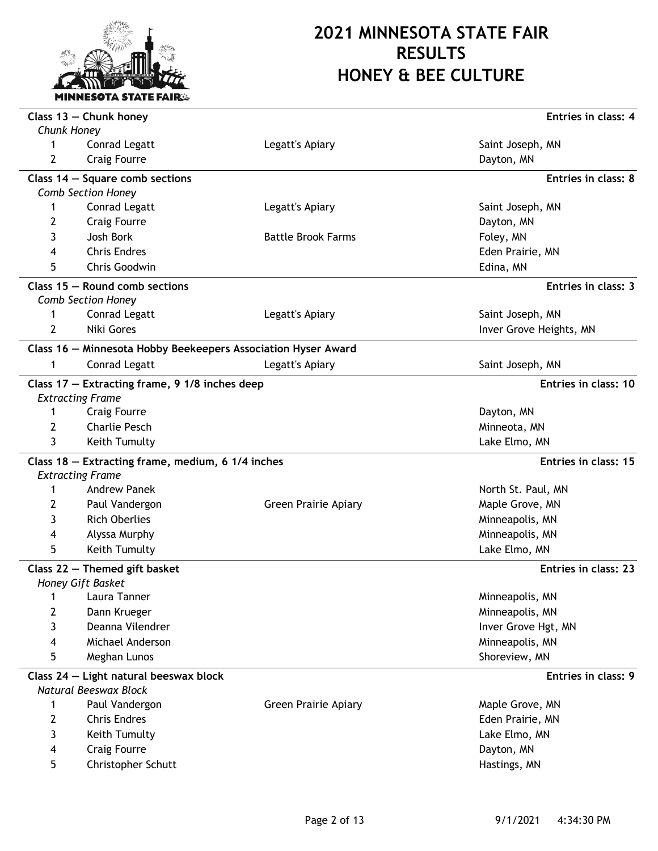

|                  | Class $13$ - Chunk honey                                      |                             | Entries in class: 4     |
|------------------|---------------------------------------------------------------|-----------------------------|-------------------------|
| Chunk Honey<br>1 | Conrad Legatt                                                 | Legatt's Apiary             | Saint Joseph, MN        |
| 2                | <b>Craig Fourre</b>                                           |                             | Dayton, MN              |
|                  |                                                               |                             |                         |
|                  | Class $14$ – Square comb sections                             |                             | Entries in class: 8     |
|                  | <b>Comb Section Honey</b>                                     |                             |                         |
| 1                | Conrad Legatt                                                 | Legatt's Apiary             | Saint Joseph, MN        |
| 2                | <b>Craig Fourre</b>                                           |                             | Dayton, MN              |
| 3                | Josh Bork                                                     | <b>Battle Brook Farms</b>   | Foley, MN               |
| 4                | <b>Chris Endres</b>                                           |                             | Eden Prairie, MN        |
| 5                | Chris Goodwin                                                 |                             | Edina, MN               |
|                  | Class $15 -$ Round comb sections                              |                             | Entries in class: 3     |
|                  | Comb Section Honey                                            |                             |                         |
| 1                | Conrad Legatt                                                 | Legatt's Apiary             | Saint Joseph, MN        |
| $\overline{2}$   | Niki Gores                                                    |                             | Inver Grove Heights, MN |
|                  | Class 16 - Minnesota Hobby Beekeepers Association Hyser Award |                             |                         |
| 1                | <b>Conrad Legatt</b>                                          | Legatt's Apiary             | Saint Joseph, MN        |
|                  | Class $17$ – Extracting frame, 9 1/8 inches deep              |                             | Entries in class: 10    |
|                  | <b>Extracting Frame</b>                                       |                             |                         |
| 1                | <b>Craig Fourre</b>                                           |                             | Dayton, MN              |
| 2                | <b>Charlie Pesch</b>                                          |                             | Minneota, MN            |
| 3                | Keith Tumulty                                                 |                             | Lake Elmo, MN           |
|                  | Class 18 - Extracting frame, medium, 6 1/4 inches             |                             | Entries in class: 15    |
|                  | <b>Extracting Frame</b>                                       |                             |                         |
| 1                | <b>Andrew Panek</b>                                           |                             | North St. Paul, MN      |
| 2                | Paul Vandergon                                                | <b>Green Prairie Apiary</b> | Maple Grove, MN         |
| 3                | <b>Rich Oberlies</b>                                          |                             | Minneapolis, MN         |
| 4                | Alyssa Murphy                                                 |                             | Minneapolis, MN         |
| 5                | Keith Tumulty                                                 |                             | Lake Elmo, MN           |
|                  | Class 22 - Themed gift basket                                 |                             | Entries in class: 23    |
|                  | Honey Gift Basket                                             |                             |                         |
| 1                | Laura Tanner                                                  |                             | Minneapolis, MN         |
| 2                | Dann Krueger                                                  |                             | Minneapolis, MN         |
| 3                | Deanna Vilendrer                                              |                             | Inver Grove Hgt, MN     |
| 4                | Michael Anderson                                              |                             | Minneapolis, MN         |
| 5                | Meghan Lunos                                                  |                             | Shoreview, MN           |
|                  | Class 24 - Light natural beeswax block                        |                             | Entries in class: 9     |
|                  | Natural Beeswax Block                                         |                             |                         |
| 1                | Paul Vandergon                                                | <b>Green Prairie Apiary</b> | Maple Grove, MN         |
| $\overline{2}$   | <b>Chris Endres</b>                                           |                             | Eden Prairie, MN        |
| 3                | Keith Tumulty                                                 |                             | Lake Elmo, MN           |
| 4                | <b>Craig Fourre</b>                                           |                             | Dayton, MN              |
| 5                | Christopher Schutt                                            |                             | Hastings, MN            |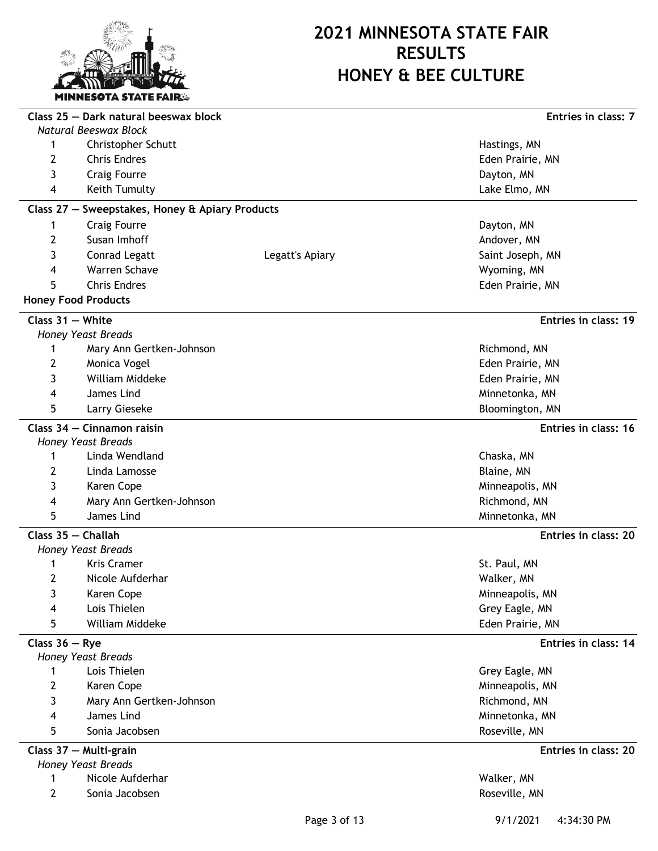

|                    | Class 25 - Dark natural beeswax block           |                 | Entries in class: 7  |
|--------------------|-------------------------------------------------|-----------------|----------------------|
|                    | Natural Beeswax Block                           |                 |                      |
| 1                  | Christopher Schutt                              |                 | Hastings, MN         |
| 2                  | <b>Chris Endres</b>                             |                 | Eden Prairie, MN     |
| 3                  | <b>Craig Fourre</b>                             |                 | Dayton, MN           |
| 4                  | Keith Tumulty                                   |                 | Lake Elmo, MN        |
|                    | Class 27 - Sweepstakes, Honey & Apiary Products |                 |                      |
| 1                  | <b>Craig Fourre</b>                             |                 | Dayton, MN           |
| 2                  | Susan Imhoff                                    |                 | Andover, MN          |
| 3                  | Conrad Legatt                                   | Legatt's Apiary | Saint Joseph, MN     |
| 4                  | Warren Schave                                   |                 | Wyoming, MN          |
| 5                  | <b>Chris Endres</b>                             |                 | Eden Prairie, MN     |
|                    | <b>Honey Food Products</b>                      |                 |                      |
| Class $31 -$ White |                                                 |                 | Entries in class: 19 |
|                    | <b>Honey Yeast Breads</b>                       |                 |                      |
| 1                  | Mary Ann Gertken-Johnson                        |                 | Richmond, MN         |
| 2                  | Monica Vogel                                    |                 | Eden Prairie, MN     |
| 3                  | William Middeke                                 |                 | Eden Prairie, MN     |
| 4                  | James Lind                                      |                 | Minnetonka, MN       |
| 5                  | Larry Gieseke                                   |                 | Bloomington, MN      |
|                    | Class 34 - Cinnamon raisin                      |                 | Entries in class: 16 |
|                    | Honey Yeast Breads                              |                 |                      |
| 1                  | Linda Wendland                                  |                 | Chaska, MN           |
| 2                  | Linda Lamosse                                   |                 | Blaine, MN           |
| 3                  | Karen Cope                                      |                 | Minneapolis, MN      |
| 4                  | Mary Ann Gertken-Johnson                        |                 | Richmond, MN         |
| 5                  | James Lind                                      |                 | Minnetonka, MN       |
|                    | Class 35 - Challah                              |                 | Entries in class: 20 |
|                    | <b>Honey Yeast Breads</b>                       |                 |                      |
| 1                  | <b>Kris Cramer</b>                              |                 | St. Paul, MN         |
| 2                  | Nicole Aufderhar                                |                 | Walker, MN           |
| 3                  | Karen Cope                                      |                 | Minneapolis, MN      |
| 4                  | Lois Thielen                                    |                 | Grey Eagle, MN       |
| 5                  | William Middeke                                 |                 | Eden Prairie, MN     |
| Class $36 - Rye$   |                                                 |                 | Entries in class: 14 |
|                    | <b>Honey Yeast Breads</b>                       |                 |                      |
| 1                  | Lois Thielen                                    |                 | Grey Eagle, MN       |
| 2                  | Karen Cope                                      |                 | Minneapolis, MN      |
| 3                  | Mary Ann Gertken-Johnson                        |                 | Richmond, MN         |
| 4                  | James Lind                                      |                 | Minnetonka, MN       |
| 5                  | Sonia Jacobsen                                  |                 | Roseville, MN        |
|                    | Class 37 - Multi-grain<br>Honey Yeast Breads    |                 | Entries in class: 20 |
| 1                  | Nicole Aufderhar                                |                 | Walker, MN           |
| 2                  | Sonia Jacobsen                                  |                 | Roseville, MN        |
|                    |                                                 |                 |                      |

Page 3 of 13 9/1/2021 4:34:30 PM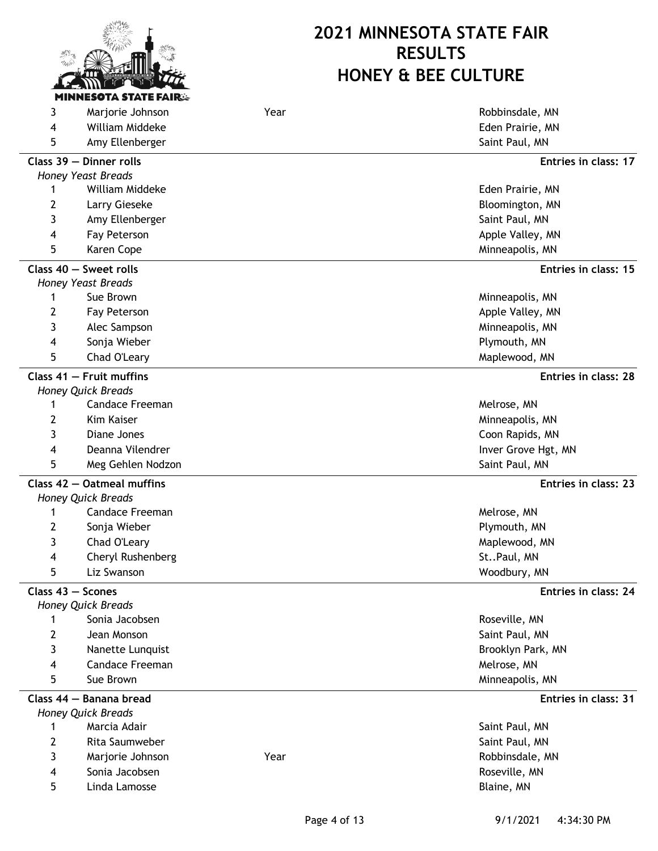

| 3              | Marjorie Johnson                          | Year | Robbinsdale, MN      |
|----------------|-------------------------------------------|------|----------------------|
| 4              | William Middeke                           |      | Eden Prairie, MN     |
| 5              | Amy Ellenberger                           |      | Saint Paul, MN       |
|                | Class 39 - Dinner rolls                   |      | Entries in class: 17 |
|                | Honey Yeast Breads                        |      |                      |
| 1              | William Middeke                           |      | Eden Prairie, MN     |
| 2              | Larry Gieseke                             |      | Bloomington, MN      |
| 3              | Amy Ellenberger                           |      | Saint Paul, MN       |
| 4              | Fay Peterson                              |      | Apple Valley, MN     |
| 5              | Karen Cope                                |      | Minneapolis, MN      |
|                | Class 40 - Sweet rolls                    |      | Entries in class: 15 |
|                | <b>Honey Yeast Breads</b>                 |      |                      |
| 1              | Sue Brown                                 |      | Minneapolis, MN      |
| 2              | Fay Peterson                              |      | Apple Valley, MN     |
| 3              | Alec Sampson                              |      | Minneapolis, MN      |
| 4              | Sonja Wieber                              |      | Plymouth, MN         |
| 5              | Chad O'Leary                              |      | Maplewood, MN        |
|                | Class $41$ - Fruit muffins                |      | Entries in class: 28 |
|                | Honey Quick Breads                        |      |                      |
| 1              | <b>Candace Freeman</b>                    |      | Melrose, MN          |
| 2              | Kim Kaiser                                |      | Minneapolis, MN      |
| 3              | Diane Jones                               |      | Coon Rapids, MN      |
| 4              | Deanna Vilendrer                          |      | Inver Grove Hgt, MN  |
| 5              | Meg Gehlen Nodzon                         |      | Saint Paul, MN       |
|                | Class 42 - Oatmeal muffins                |      | Entries in class: 23 |
|                | Honey Quick Breads                        |      |                      |
| 1              | Candace Freeman                           |      | Melrose, MN          |
| 2              | Sonja Wieber                              |      | Plymouth, MN         |
| 3              | Chad O'Leary                              |      | Maplewood, MN        |
| 4              | Cheryl Rushenberg                         |      | StPaul, MN           |
| 5              | Liz Swanson                               |      | Woodbury, MN         |
|                | Class 43 - Scones                         |      | Entries in class: 24 |
|                | Honey Quick Breads                        |      |                      |
| 1              | Sonia Jacobsen                            |      | Roseville, MN        |
| 2              | Jean Monson                               |      | Saint Paul, MN       |
| 3              | Nanette Lunquist                          |      | Brooklyn Park, MN    |
| 4              | <b>Candace Freeman</b>                    |      | Melrose, MN          |
| 5              | Sue Brown                                 |      | Minneapolis, MN      |
|                | Class 44 - Banana bread                   |      | Entries in class: 31 |
| 1              | <b>Honey Quick Breads</b><br>Marcia Adair |      |                      |
|                |                                           |      | Saint Paul, MN       |
| $\overline{2}$ | Rita Saumweber                            |      | Saint Paul, MN       |
| 3              | Marjorie Johnson                          | Year | Robbinsdale, MN      |
| 4              | Sonia Jacobsen                            |      | Roseville, MN        |
| 5              | Linda Lamosse                             |      | Blaine, MN           |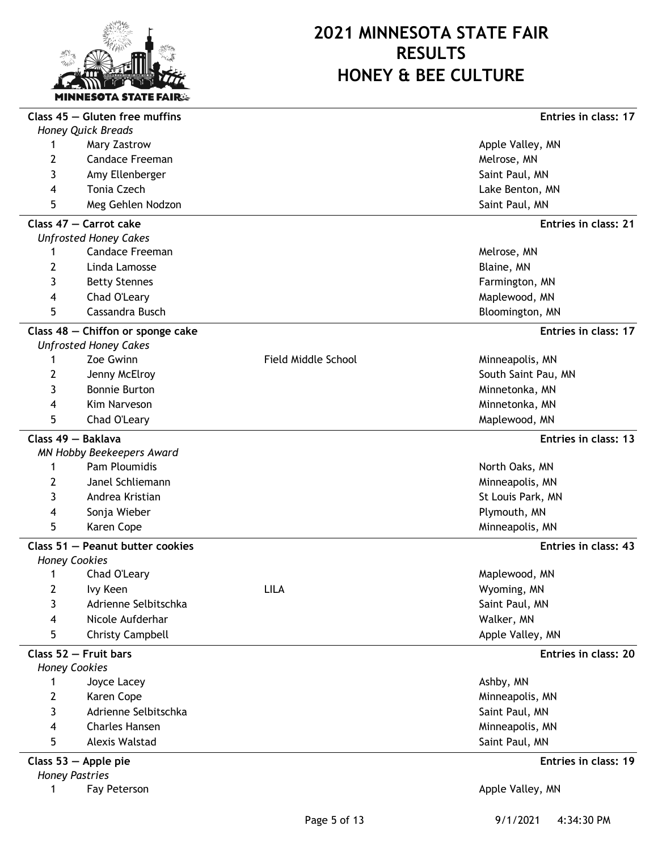

|   | Class $45$ - Gluten free muffins  |                     | Entries in class: 17 |
|---|-----------------------------------|---------------------|----------------------|
|   | Honey Quick Breads                |                     |                      |
| 1 | Mary Zastrow                      |                     | Apple Valley, MN     |
| 2 | <b>Candace Freeman</b>            |                     | Melrose, MN          |
| 3 | Amy Ellenberger                   |                     | Saint Paul, MN       |
| 4 | Tonia Czech                       |                     | Lake Benton, MN      |
| 5 | Meg Gehlen Nodzon                 |                     | Saint Paul, MN       |
|   | Class 47 - Carrot cake            |                     | Entries in class: 21 |
|   | <b>Unfrosted Honey Cakes</b>      |                     |                      |
| 1 | <b>Candace Freeman</b>            |                     | Melrose, MN          |
| 2 | Linda Lamosse                     |                     | Blaine, MN           |
| 3 | <b>Betty Stennes</b>              |                     | Farmington, MN       |
| 4 | Chad O'Leary                      |                     | Maplewood, MN        |
| 5 | Cassandra Busch                   |                     | Bloomington, MN      |
|   | Class 48 - Chiffon or sponge cake |                     | Entries in class: 17 |
|   | <b>Unfrosted Honey Cakes</b>      |                     |                      |
| 1 | Zoe Gwinn                         | Field Middle School | Minneapolis, MN      |
| 2 | Jenny McElroy                     |                     | South Saint Pau, MN  |
| 3 | <b>Bonnie Burton</b>              |                     | Minnetonka, MN       |
| 4 | <b>Kim Narveson</b>               |                     | Minnetonka, MN       |
| 5 | Chad O'Leary                      |                     | Maplewood, MN        |
|   | Class 49 - Baklava                |                     | Entries in class: 13 |
|   | MN Hobby Beekeepers Award         |                     |                      |
| 1 | Pam Ploumidis                     |                     | North Oaks, MN       |
| 2 | Janel Schliemann                  |                     | Minneapolis, MN      |
| 3 | Andrea Kristian                   |                     | St Louis Park, MN    |
| 4 | Sonja Wieber                      |                     | Plymouth, MN         |
| 5 | Karen Cope                        |                     | Minneapolis, MN      |
|   | Class 51 - Peanut butter cookies  |                     | Entries in class: 43 |
|   | <b>Honey Cookies</b>              |                     |                      |
| 1 | Chad O'Leary                      |                     | Maplewood, MN        |
| 2 | Ivy Keen                          | <b>LILA</b>         | Wyoming, MN          |
| 3 | Adrienne Selbitschka              |                     | Saint Paul, MN       |
| 4 | Nicole Aufderhar                  |                     | Walker, MN           |
| 5 | Christy Campbell                  |                     | Apple Valley, MN     |
|   | Class 52 - Fruit bars             |                     | Entries in class: 20 |
|   | <b>Honey Cookies</b>              |                     |                      |
| 1 | Joyce Lacey                       |                     | Ashby, MN            |
| 2 | Karen Cope                        |                     | Minneapolis, MN      |
| 3 | Adrienne Selbitschka              |                     | Saint Paul, MN       |
| 4 | <b>Charles Hansen</b>             |                     | Minneapolis, MN      |
| 5 | <b>Alexis Walstad</b>             |                     | Saint Paul, MN       |
|   | Class $53$ – Apple pie            |                     | Entries in class: 19 |
|   | <b>Honey Pastries</b>             |                     |                      |
| 1 | Fay Peterson                      |                     | Apple Valley, MN     |

Page 5 of 13 9/1/2021 4:34:30 PM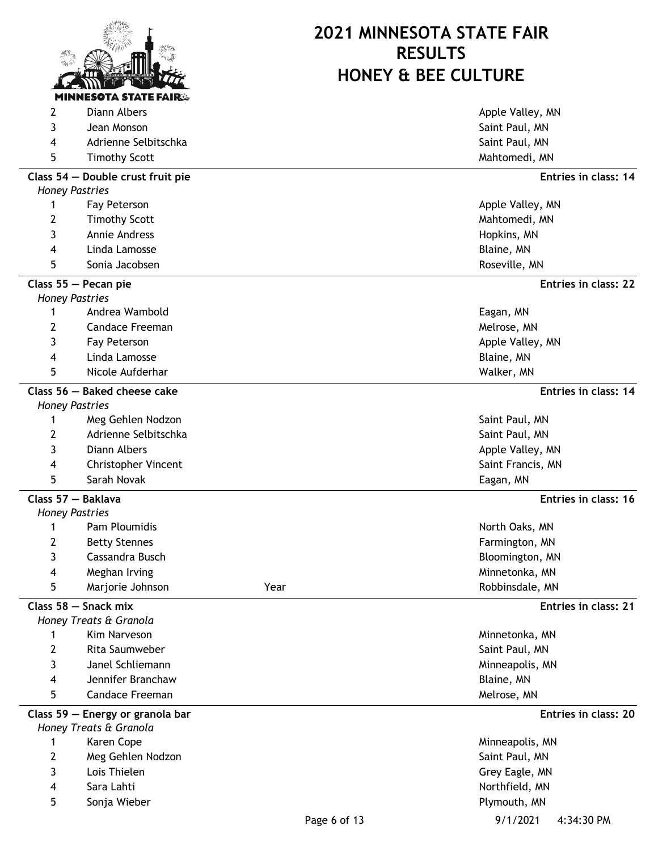

| 2              | Diann Albers                                               |              | Apple Valley, MN                  |
|----------------|------------------------------------------------------------|--------------|-----------------------------------|
| 3              | Jean Monson                                                |              | Saint Paul, MN                    |
| 4              | Adrienne Selbitschka                                       |              | Saint Paul, MN                    |
| 5              | <b>Timothy Scott</b>                                       |              | Mahtomedi, MN                     |
|                | Class 54 - Double crust fruit pie                          |              | Entries in class: 14              |
|                | <b>Honey Pastries</b>                                      |              |                                   |
| 1              | Fay Peterson                                               |              | Apple Valley, MN                  |
| 2              | <b>Timothy Scott</b>                                       |              | Mahtomedi, MN                     |
| 3              | Annie Andress                                              |              | Hopkins, MN                       |
| 4              | Linda Lamosse                                              |              | Blaine, MN                        |
| 5              | Sonia Jacobsen                                             |              | Roseville, MN                     |
|                | Class 55 - Pecan pie                                       |              | Entries in class: 22              |
|                | <b>Honey Pastries</b>                                      |              |                                   |
| 1              | Andrea Wambold                                             |              | Eagan, MN                         |
| 2              | <b>Candace Freeman</b>                                     |              | Melrose, MN                       |
| 3              | Fay Peterson                                               |              | Apple Valley, MN                  |
| 4              | Linda Lamosse                                              |              | Blaine, MN                        |
| 5              | Nicole Aufderhar                                           |              | Walker, MN                        |
|                | Class 56 - Baked cheese cake                               |              | Entries in class: 14              |
|                | <b>Honey Pastries</b>                                      |              |                                   |
| 1              | Meg Gehlen Nodzon                                          |              | Saint Paul, MN                    |
| 2              | Adrienne Selbitschka                                       |              | Saint Paul, MN                    |
| 3              | Diann Albers                                               |              | Apple Valley, MN                  |
| 4              | <b>Christopher Vincent</b>                                 |              | Saint Francis, MN                 |
| 5              | Sarah Novak                                                |              | Eagan, MN                         |
|                | Class 57 - Baklava                                         |              | Entries in class: 16              |
|                | <b>Honey Pastries</b><br>Pam Ploumidis                     |              |                                   |
| 1              |                                                            |              | North Oaks, MN                    |
| 2<br>3         | <b>Betty Stennes</b><br>Cassandra Busch                    |              | Farmington, MN                    |
| 4              | Meghan Irving                                              |              | Bloomington, MN<br>Minnetonka, MN |
| 5              | Marjorie Johnson                                           | Year         | Robbinsdale, MN                   |
|                |                                                            |              |                                   |
|                | Class 58 - Snack mix                                       |              | Entries in class: 21              |
| 1              | Honey Treats & Granola<br>Kim Narveson                     |              | Minnetonka, MN                    |
| $\overline{2}$ | Rita Saumweber                                             |              | Saint Paul, MN                    |
| 3              | Janel Schliemann                                           |              | Minneapolis, MN                   |
| 4              | Jennifer Branchaw                                          |              | Blaine, MN                        |
| 5              | <b>Candace Freeman</b>                                     |              | Melrose, MN                       |
|                |                                                            |              |                                   |
|                | Class 59 - Energy or granola bar<br>Honey Treats & Granola |              | Entries in class: 20              |
| 1              | Karen Cope                                                 |              | Minneapolis, MN                   |
| 2              | Meg Gehlen Nodzon                                          |              | Saint Paul, MN                    |
| 3              | Lois Thielen                                               |              | Grey Eagle, MN                    |
| 4              | Sara Lahti                                                 |              | Northfield, MN                    |
| 5              | Sonja Wieber                                               |              | Plymouth, MN                      |
|                |                                                            | Page 6 of 13 | 9/1/2021<br>4:34:30 PM            |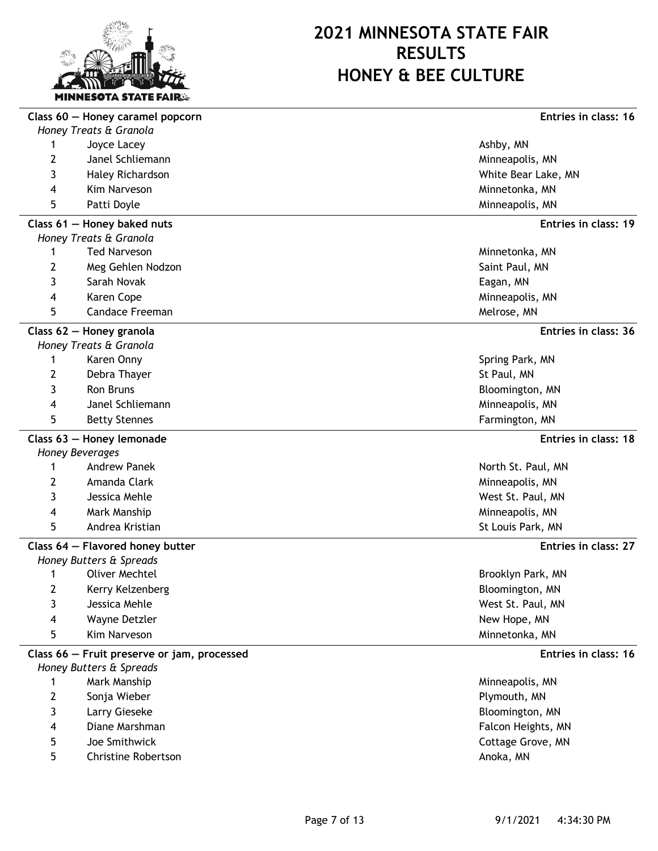

|                | Class 60 - Honey caramel popcorn            | Entries in class: 16 |
|----------------|---------------------------------------------|----------------------|
|                | Honey Treats & Granola                      |                      |
| 1              | Joyce Lacey                                 | Ashby, MN            |
| 2              | Janel Schliemann                            | Minneapolis, MN      |
| 3              | Haley Richardson                            | White Bear Lake, MN  |
| 4              | Kim Narveson                                | Minnetonka, MN       |
| 5              | Patti Doyle                                 | Minneapolis, MN      |
|                | Class 61 - Honey baked nuts                 | Entries in class: 19 |
|                | Honey Treats & Granola                      |                      |
| 1              | <b>Ted Narveson</b>                         | Minnetonka, MN       |
| $\overline{2}$ | Meg Gehlen Nodzon                           | Saint Paul, MN       |
| 3              | Sarah Novak                                 | Eagan, MN            |
| 4              | Karen Cope                                  | Minneapolis, MN      |
| 5              | <b>Candace Freeman</b>                      | Melrose, MN          |
|                | Class 62 - Honey granola                    | Entries in class: 36 |
|                | Honey Treats & Granola                      |                      |
| 1              | Karen Onny                                  | Spring Park, MN      |
| 2              | Debra Thayer                                | St Paul, MN          |
| 3              | Ron Bruns                                   | Bloomington, MN      |
| 4              | Janel Schliemann                            | Minneapolis, MN      |
| 5              | <b>Betty Stennes</b>                        | Farmington, MN       |
|                | Class 63 - Honey lemonade                   | Entries in class: 18 |
|                | Honey Beverages                             |                      |
| 1              | <b>Andrew Panek</b>                         | North St. Paul, MN   |
| 2              | Amanda Clark                                | Minneapolis, MN      |
| 3              | Jessica Mehle                               | West St. Paul, MN    |
| 4              | Mark Manship                                | Minneapolis, MN      |
| 5              | Andrea Kristian                             | St Louis Park, MN    |
|                | Class 64 - Flavored honey butter            | Entries in class: 27 |
|                | Honey Butters & Spreads                     |                      |
| 1              | <b>Oliver Mechtel</b>                       | Brooklyn Park, MN    |
| 2              | Kerry Kelzenberg                            | Bloomington, MN      |
| 3              | Jessica Mehle                               | West St. Paul, MN    |
| 4              | Wayne Detzler                               | New Hope, MN         |
| 5              | Kim Narveson                                | Minnetonka, MN       |
|                | Class 66 - Fruit preserve or jam, processed | Entries in class: 16 |
|                | Honey Butters & Spreads                     |                      |
| 1              | Mark Manship                                | Minneapolis, MN      |
| $\overline{2}$ | Sonja Wieber                                | Plymouth, MN         |
| 3              | Larry Gieseke                               | Bloomington, MN      |
| 4              | Diane Marshman                              | Falcon Heights, MN   |
| 5              | Joe Smithwick                               | Cottage Grove, MN    |
| 5              | Christine Robertson                         | Anoka, MN            |
|                |                                             |                      |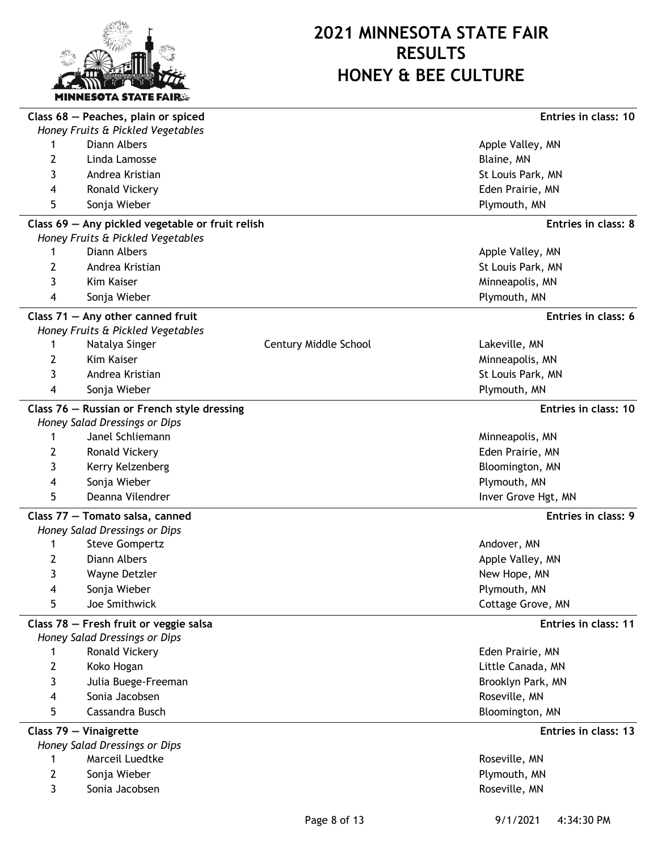

|   | Class 68 - Peaches, plain or spiced              |                       | Entries in class: 10 |
|---|--------------------------------------------------|-----------------------|----------------------|
|   | Honey Fruits & Pickled Vegetables                |                       |                      |
|   | Diann Albers                                     |                       | Apple Valley, MN     |
| 2 | Linda Lamosse                                    |                       | Blaine, MN           |
| 3 | Andrea Kristian                                  |                       | St Louis Park, MN    |
| 4 | Ronald Vickery                                   |                       | Eden Prairie, MN     |
| 5 | Sonja Wieber                                     |                       | Plymouth, MN         |
|   | Class 69 - Any pickled vegetable or fruit relish |                       | Entries in class: 8  |
|   | Honey Fruits & Pickled Vegetables                |                       |                      |
| 1 | Diann Albers                                     |                       | Apple Valley, MN     |
| 2 | Andrea Kristian                                  |                       | St Louis Park, MN    |
| 3 | Kim Kaiser                                       |                       | Minneapolis, MN      |
| 4 | Sonja Wieber                                     |                       | Plymouth, MN         |
|   | Class $71 -$ Any other canned fruit              |                       | Entries in class: 6  |
|   | Honey Fruits & Pickled Vegetables                |                       |                      |
| 1 | Natalya Singer                                   | Century Middle School | Lakeville, MN        |
| 2 | Kim Kaiser                                       |                       | Minneapolis, MN      |
| 3 | Andrea Kristian                                  |                       | St Louis Park, MN    |
| 4 | Sonja Wieber                                     |                       | Plymouth, MN         |
|   | Class 76 - Russian or French style dressing      |                       | Entries in class: 10 |
|   | Honey Salad Dressings or Dips                    |                       |                      |
| 1 | Janel Schliemann                                 |                       | Minneapolis, MN      |
| 2 | Ronald Vickery                                   |                       | Eden Prairie, MN     |
| 3 | Kerry Kelzenberg                                 |                       | Bloomington, MN      |
| 4 | Sonja Wieber                                     |                       | Plymouth, MN         |
| 5 | Deanna Vilendrer                                 |                       | Inver Grove Hgt, MN  |
|   | Class 77 - Tomato salsa, canned                  |                       | Entries in class: 9  |
|   | Honey Salad Dressings or Dips                    |                       |                      |
| 1 | <b>Steve Gompertz</b>                            |                       | Andover, MN          |
| 2 | Diann Albers                                     |                       | Apple Valley, MN     |
| 3 | Wayne Detzler                                    |                       | New Hope, MN         |
| 4 | Sonja Wieber                                     |                       | Plymouth, MN         |
| 5 | Joe Smithwick                                    |                       | Cottage Grove, MN    |
|   | Class 78 - Fresh fruit or veggie salsa           |                       | Entries in class: 11 |
|   | Honey Salad Dressings or Dips                    |                       |                      |
|   | Ronald Vickery                                   |                       | Eden Prairie, MN     |
| 2 | Koko Hogan                                       |                       | Little Canada, MN    |
| 3 | Julia Buege-Freeman                              |                       | Brooklyn Park, MN    |
| 4 | Sonia Jacobsen                                   |                       | Roseville, MN        |
| 5 | Cassandra Busch                                  |                       | Bloomington, MN      |
|   | Class 79 - Vinaigrette                           |                       | Entries in class: 13 |
|   | Honey Salad Dressings or Dips                    |                       |                      |
| 1 | Marceil Luedtke                                  |                       | Roseville, MN        |
| 2 | Sonja Wieber                                     |                       | Plymouth, MN         |
| 3 | Sonia Jacobsen                                   |                       | Roseville, MN        |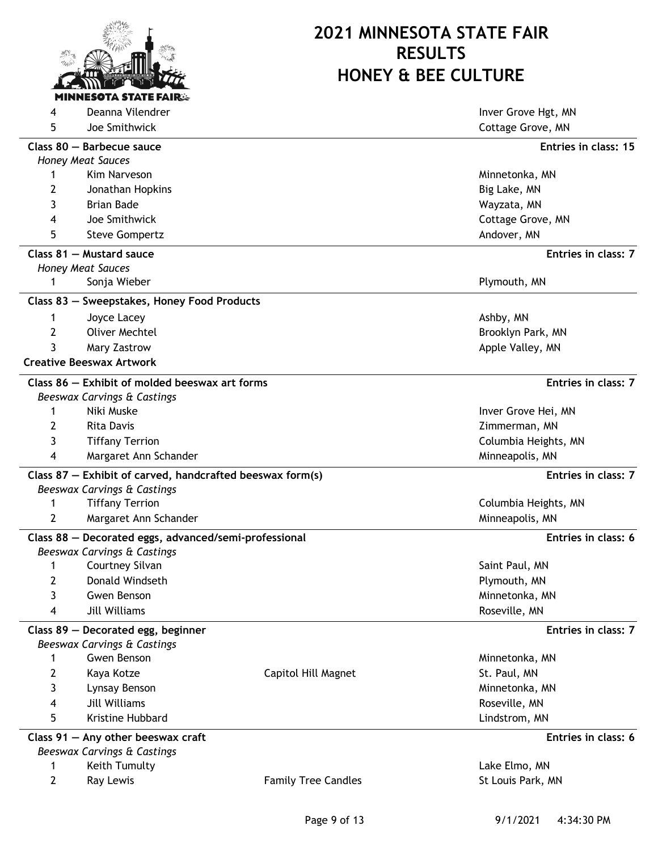

**4** Deanna Vilendrer **Inverse Grove Hgt, MN** 5 Joe Smithwick Cottage Grove, MN **Class 80 — Barbecue sauce Entries in class: 15** *Honey Meat Sauces* 1 Minnetonka, MN Narveson Minnetonka, MN Narveson Minnetonka, MN Narveson Minnetonka, MN Narveson Minnetonka, MN Narveson Minnetonka, MN Narveson Minnetonka, MN Narveson Minnetonka, MN Narveson Minnetonka, MN Narveson Minn 2 Jonathan Hopkins **Big Lake, MN** 3 Brian Bade Wayzata, MN 4 Joe Smithwick Cottage Grove, MN 5 Steve Gompertz **Andover, MN Class 81 — Mustard sauce Entries in class: 7** *Honey Meat Sauces* 1 Sonja Wieber **Plymouth, MN Class 83 — Sweepstakes, Honey Food Products** 1 Joyce Lacey **Ashby, MN** 2 Oliver Mechtel **Brooklyn Park, MN** 3 Mary Zastrow Apple Valley, MN **Creative Beeswax Artwork Class 86 — Exhibit of molded beeswax art forms Entries in class: 7** *Beeswax Carvings & Castings* 1 Niki Muske Inver Grove Hei, MN 2 Rita Davis **Zimmerman, MN** 3 Tiffany Terrion Columbia Heights, MN 4 Margaret Ann Schander Minneapolis, MN National Ann ann an Amhann ann an Amhann an Amhann Ainmeapolis, MN **Class 87 — Exhibit of carved, handcrafted beeswax form(s) Entries in class: 7** *Beeswax Carvings & Castings* 1 Tiffany Terrion Columbia Heights, MN 2 Margaret Ann Schander Minneapolis, MN Ninneapolis, MN Ninneapolis, MN Ninneapolis, MN **Class 88 — Decorated eggs, advanced/semi-professional Entries in class: 6** *Beeswax Carvings & Castings* 1 Courtney Silvan Saint Paul, MN Saint Paul, MN Saint Paul, MN Saint Paul, MN Saint Paul, MN Saint Paul, MN Saint Paul, MN Saint Paul, MN Saint Paul, MN Saint Paul, MN Saint Paul, MN Saint Paul, MN Saint Paul, MN Saint Pau 2 Donald Windseth **Plymouth, MN** 3 Gwen Benson Minnetonka, MN 600 Minnetonka, MN 600 Minnetonka, MN 600 Minnetonka, MN 600 Minnetonka, MN 600 Minnetonka, MN 600 Minnetonka, MN 600 Minnetonka, MN 600 Minnetonka, MN 600 Minnetonka, MN 600 Minnetonka, MN 600 4 Jill Williams Roseville, MN **Class 89 — Decorated egg, beginner Entries in class: 7** *Beeswax Carvings & Castings* 1 Gwen Benson Minnetonka, MN Gwen Benson Minnetonka, MN Gwen Minnetonka, MN Gwen Minnetonka, MN Gwen Minnetonka, MN Gwen Minnetonka, MN Gwen Minnetonka, MN Gwen Minnetonka, MN Gwen Minnetonka, MN Gwen Minnetonka, MN Gwen M 2 Kaya Kotze **Capitol Hill Magnet** St. Paul, MN 3 Lynsay Benson Minnetonka, MN and Senator Minnetonka, MN and Senator Minnetonka, MN and Minnetonka, MN and Minnetonka, MN and Minnetonka, MN and Minnetonka, MN and Minnetonka, MN and Minnetonka, MN and Minnetonka, MN and 4 Jill Williams Roseville, MN 5 Kristine Hubbard Lindstrom, MN **Class 91 — Any other beeswax craft Entries in class: 6** *Beeswax Carvings & Castings* 1 Keith Tumulty Lake Elmo, MN 2 Ray Lewis **Family Tree Candles** St Louis Park, MN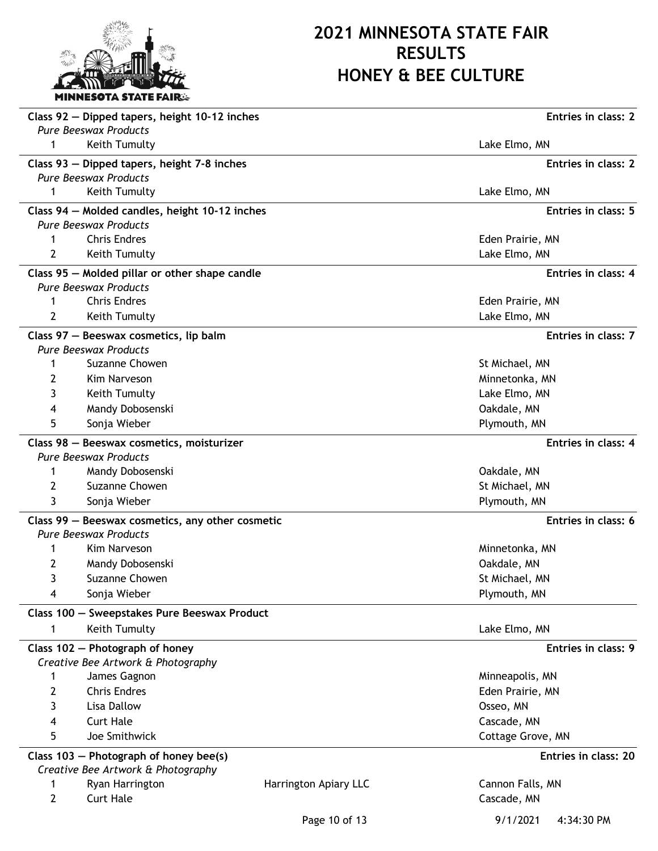

| <b>Pure Beeswax Products</b><br>Keith Tumulty<br>Lake Elmo, MN<br>1<br>Class 93 - Dipped tapers, height 7-8 inches<br>Entries in class: 2<br><b>Pure Beeswax Products</b><br>Keith Tumulty<br>1<br>Lake Elmo, MN<br>Class 94 - Molded candles, height 10-12 inches<br>Entries in class: 5<br><b>Pure Beeswax Products</b><br><b>Chris Endres</b><br>Eden Prairie, MN<br>Keith Tumulty<br>Lake Elmo, MN<br>2<br>Entries in class: 4<br>Class 95 - Molded pillar or other shape candle<br><b>Pure Beeswax Products</b><br><b>Chris Endres</b><br>1<br>Eden Prairie, MN<br>2<br>Keith Tumulty<br>Lake Elmo, MN<br>Class 97 - Beeswax cosmetics, lip balm<br>Entries in class: 7<br><b>Pure Beeswax Products</b><br>Suzanne Chowen<br>St Michael, MN<br>1<br>Minnetonka, MN<br>2<br>Kim Narveson<br>3<br>Keith Tumulty<br>Lake Elmo, MN<br>Mandy Dobosenski<br>Oakdale, MN<br>4<br>5<br>Sonja Wieber<br>Plymouth, MN<br>Entries in class: 4<br>Class 98 - Beeswax cosmetics, moisturizer<br><b>Pure Beeswax Products</b><br>Mandy Dobosenski<br>Oakdale, MN<br>1<br>2<br>Suzanne Chowen<br>St Michael, MN<br>3<br>Sonja Wieber<br>Plymouth, MN<br>Entries in class: 6<br>Class 99 - Beeswax cosmetics, any other cosmetic<br><b>Pure Beeswax Products</b><br>Kim Narveson<br>Minnetonka, MN<br>2<br>Mandy Dobosenski<br>Oakdale, MN<br>3<br>Suzanne Chowen<br>St Michael, MN<br>4<br>Sonja Wieber<br>Plymouth, MN<br>Class 100 - Sweepstakes Pure Beeswax Product<br>Keith Tumulty<br>Lake Elmo, MN<br>1<br>Class 102 - Photograph of honey<br>Entries in class: 9<br>Creative Bee Artwork & Photography |
|------------------------------------------------------------------------------------------------------------------------------------------------------------------------------------------------------------------------------------------------------------------------------------------------------------------------------------------------------------------------------------------------------------------------------------------------------------------------------------------------------------------------------------------------------------------------------------------------------------------------------------------------------------------------------------------------------------------------------------------------------------------------------------------------------------------------------------------------------------------------------------------------------------------------------------------------------------------------------------------------------------------------------------------------------------------------------------------------------------------------------------------------------------------------------------------------------------------------------------------------------------------------------------------------------------------------------------------------------------------------------------------------------------------------------------------------------------------------------------------------------------------------------------------------------------------------------------------------------|
|                                                                                                                                                                                                                                                                                                                                                                                                                                                                                                                                                                                                                                                                                                                                                                                                                                                                                                                                                                                                                                                                                                                                                                                                                                                                                                                                                                                                                                                                                                                                                                                                      |
|                                                                                                                                                                                                                                                                                                                                                                                                                                                                                                                                                                                                                                                                                                                                                                                                                                                                                                                                                                                                                                                                                                                                                                                                                                                                                                                                                                                                                                                                                                                                                                                                      |
|                                                                                                                                                                                                                                                                                                                                                                                                                                                                                                                                                                                                                                                                                                                                                                                                                                                                                                                                                                                                                                                                                                                                                                                                                                                                                                                                                                                                                                                                                                                                                                                                      |
|                                                                                                                                                                                                                                                                                                                                                                                                                                                                                                                                                                                                                                                                                                                                                                                                                                                                                                                                                                                                                                                                                                                                                                                                                                                                                                                                                                                                                                                                                                                                                                                                      |
|                                                                                                                                                                                                                                                                                                                                                                                                                                                                                                                                                                                                                                                                                                                                                                                                                                                                                                                                                                                                                                                                                                                                                                                                                                                                                                                                                                                                                                                                                                                                                                                                      |
|                                                                                                                                                                                                                                                                                                                                                                                                                                                                                                                                                                                                                                                                                                                                                                                                                                                                                                                                                                                                                                                                                                                                                                                                                                                                                                                                                                                                                                                                                                                                                                                                      |
|                                                                                                                                                                                                                                                                                                                                                                                                                                                                                                                                                                                                                                                                                                                                                                                                                                                                                                                                                                                                                                                                                                                                                                                                                                                                                                                                                                                                                                                                                                                                                                                                      |
|                                                                                                                                                                                                                                                                                                                                                                                                                                                                                                                                                                                                                                                                                                                                                                                                                                                                                                                                                                                                                                                                                                                                                                                                                                                                                                                                                                                                                                                                                                                                                                                                      |
|                                                                                                                                                                                                                                                                                                                                                                                                                                                                                                                                                                                                                                                                                                                                                                                                                                                                                                                                                                                                                                                                                                                                                                                                                                                                                                                                                                                                                                                                                                                                                                                                      |
|                                                                                                                                                                                                                                                                                                                                                                                                                                                                                                                                                                                                                                                                                                                                                                                                                                                                                                                                                                                                                                                                                                                                                                                                                                                                                                                                                                                                                                                                                                                                                                                                      |
|                                                                                                                                                                                                                                                                                                                                                                                                                                                                                                                                                                                                                                                                                                                                                                                                                                                                                                                                                                                                                                                                                                                                                                                                                                                                                                                                                                                                                                                                                                                                                                                                      |
|                                                                                                                                                                                                                                                                                                                                                                                                                                                                                                                                                                                                                                                                                                                                                                                                                                                                                                                                                                                                                                                                                                                                                                                                                                                                                                                                                                                                                                                                                                                                                                                                      |
|                                                                                                                                                                                                                                                                                                                                                                                                                                                                                                                                                                                                                                                                                                                                                                                                                                                                                                                                                                                                                                                                                                                                                                                                                                                                                                                                                                                                                                                                                                                                                                                                      |
|                                                                                                                                                                                                                                                                                                                                                                                                                                                                                                                                                                                                                                                                                                                                                                                                                                                                                                                                                                                                                                                                                                                                                                                                                                                                                                                                                                                                                                                                                                                                                                                                      |
|                                                                                                                                                                                                                                                                                                                                                                                                                                                                                                                                                                                                                                                                                                                                                                                                                                                                                                                                                                                                                                                                                                                                                                                                                                                                                                                                                                                                                                                                                                                                                                                                      |
|                                                                                                                                                                                                                                                                                                                                                                                                                                                                                                                                                                                                                                                                                                                                                                                                                                                                                                                                                                                                                                                                                                                                                                                                                                                                                                                                                                                                                                                                                                                                                                                                      |
|                                                                                                                                                                                                                                                                                                                                                                                                                                                                                                                                                                                                                                                                                                                                                                                                                                                                                                                                                                                                                                                                                                                                                                                                                                                                                                                                                                                                                                                                                                                                                                                                      |
|                                                                                                                                                                                                                                                                                                                                                                                                                                                                                                                                                                                                                                                                                                                                                                                                                                                                                                                                                                                                                                                                                                                                                                                                                                                                                                                                                                                                                                                                                                                                                                                                      |
|                                                                                                                                                                                                                                                                                                                                                                                                                                                                                                                                                                                                                                                                                                                                                                                                                                                                                                                                                                                                                                                                                                                                                                                                                                                                                                                                                                                                                                                                                                                                                                                                      |
|                                                                                                                                                                                                                                                                                                                                                                                                                                                                                                                                                                                                                                                                                                                                                                                                                                                                                                                                                                                                                                                                                                                                                                                                                                                                                                                                                                                                                                                                                                                                                                                                      |
|                                                                                                                                                                                                                                                                                                                                                                                                                                                                                                                                                                                                                                                                                                                                                                                                                                                                                                                                                                                                                                                                                                                                                                                                                                                                                                                                                                                                                                                                                                                                                                                                      |
|                                                                                                                                                                                                                                                                                                                                                                                                                                                                                                                                                                                                                                                                                                                                                                                                                                                                                                                                                                                                                                                                                                                                                                                                                                                                                                                                                                                                                                                                                                                                                                                                      |
|                                                                                                                                                                                                                                                                                                                                                                                                                                                                                                                                                                                                                                                                                                                                                                                                                                                                                                                                                                                                                                                                                                                                                                                                                                                                                                                                                                                                                                                                                                                                                                                                      |
|                                                                                                                                                                                                                                                                                                                                                                                                                                                                                                                                                                                                                                                                                                                                                                                                                                                                                                                                                                                                                                                                                                                                                                                                                                                                                                                                                                                                                                                                                                                                                                                                      |
|                                                                                                                                                                                                                                                                                                                                                                                                                                                                                                                                                                                                                                                                                                                                                                                                                                                                                                                                                                                                                                                                                                                                                                                                                                                                                                                                                                                                                                                                                                                                                                                                      |
|                                                                                                                                                                                                                                                                                                                                                                                                                                                                                                                                                                                                                                                                                                                                                                                                                                                                                                                                                                                                                                                                                                                                                                                                                                                                                                                                                                                                                                                                                                                                                                                                      |
|                                                                                                                                                                                                                                                                                                                                                                                                                                                                                                                                                                                                                                                                                                                                                                                                                                                                                                                                                                                                                                                                                                                                                                                                                                                                                                                                                                                                                                                                                                                                                                                                      |
|                                                                                                                                                                                                                                                                                                                                                                                                                                                                                                                                                                                                                                                                                                                                                                                                                                                                                                                                                                                                                                                                                                                                                                                                                                                                                                                                                                                                                                                                                                                                                                                                      |
|                                                                                                                                                                                                                                                                                                                                                                                                                                                                                                                                                                                                                                                                                                                                                                                                                                                                                                                                                                                                                                                                                                                                                                                                                                                                                                                                                                                                                                                                                                                                                                                                      |
|                                                                                                                                                                                                                                                                                                                                                                                                                                                                                                                                                                                                                                                                                                                                                                                                                                                                                                                                                                                                                                                                                                                                                                                                                                                                                                                                                                                                                                                                                                                                                                                                      |
|                                                                                                                                                                                                                                                                                                                                                                                                                                                                                                                                                                                                                                                                                                                                                                                                                                                                                                                                                                                                                                                                                                                                                                                                                                                                                                                                                                                                                                                                                                                                                                                                      |
|                                                                                                                                                                                                                                                                                                                                                                                                                                                                                                                                                                                                                                                                                                                                                                                                                                                                                                                                                                                                                                                                                                                                                                                                                                                                                                                                                                                                                                                                                                                                                                                                      |
|                                                                                                                                                                                                                                                                                                                                                                                                                                                                                                                                                                                                                                                                                                                                                                                                                                                                                                                                                                                                                                                                                                                                                                                                                                                                                                                                                                                                                                                                                                                                                                                                      |
|                                                                                                                                                                                                                                                                                                                                                                                                                                                                                                                                                                                                                                                                                                                                                                                                                                                                                                                                                                                                                                                                                                                                                                                                                                                                                                                                                                                                                                                                                                                                                                                                      |
| James Gagnon<br>Minneapolis, MN                                                                                                                                                                                                                                                                                                                                                                                                                                                                                                                                                                                                                                                                                                                                                                                                                                                                                                                                                                                                                                                                                                                                                                                                                                                                                                                                                                                                                                                                                                                                                                      |
| 2<br><b>Chris Endres</b><br>Eden Prairie, MN                                                                                                                                                                                                                                                                                                                                                                                                                                                                                                                                                                                                                                                                                                                                                                                                                                                                                                                                                                                                                                                                                                                                                                                                                                                                                                                                                                                                                                                                                                                                                         |
| 3<br>Lisa Dallow<br>Osseo, MN                                                                                                                                                                                                                                                                                                                                                                                                                                                                                                                                                                                                                                                                                                                                                                                                                                                                                                                                                                                                                                                                                                                                                                                                                                                                                                                                                                                                                                                                                                                                                                        |
| <b>Curt Hale</b><br>Cascade, MN<br>4                                                                                                                                                                                                                                                                                                                                                                                                                                                                                                                                                                                                                                                                                                                                                                                                                                                                                                                                                                                                                                                                                                                                                                                                                                                                                                                                                                                                                                                                                                                                                                 |
| 5<br>Joe Smithwick<br>Cottage Grove, MN                                                                                                                                                                                                                                                                                                                                                                                                                                                                                                                                                                                                                                                                                                                                                                                                                                                                                                                                                                                                                                                                                                                                                                                                                                                                                                                                                                                                                                                                                                                                                              |
| Class $103$ – Photograph of honey bee(s)<br>Entries in class: 20                                                                                                                                                                                                                                                                                                                                                                                                                                                                                                                                                                                                                                                                                                                                                                                                                                                                                                                                                                                                                                                                                                                                                                                                                                                                                                                                                                                                                                                                                                                                     |
| Creative Bee Artwork & Photography                                                                                                                                                                                                                                                                                                                                                                                                                                                                                                                                                                                                                                                                                                                                                                                                                                                                                                                                                                                                                                                                                                                                                                                                                                                                                                                                                                                                                                                                                                                                                                   |
| Ryan Harrington<br>Harrington Apiary LLC<br>Cannon Falls, MN<br>1                                                                                                                                                                                                                                                                                                                                                                                                                                                                                                                                                                                                                                                                                                                                                                                                                                                                                                                                                                                                                                                                                                                                                                                                                                                                                                                                                                                                                                                                                                                                    |
| $\overline{2}$<br><b>Curt Hale</b><br>Cascade, MN                                                                                                                                                                                                                                                                                                                                                                                                                                                                                                                                                                                                                                                                                                                                                                                                                                                                                                                                                                                                                                                                                                                                                                                                                                                                                                                                                                                                                                                                                                                                                    |

Page 10 of 13 9/1/2021 4:34:30 PM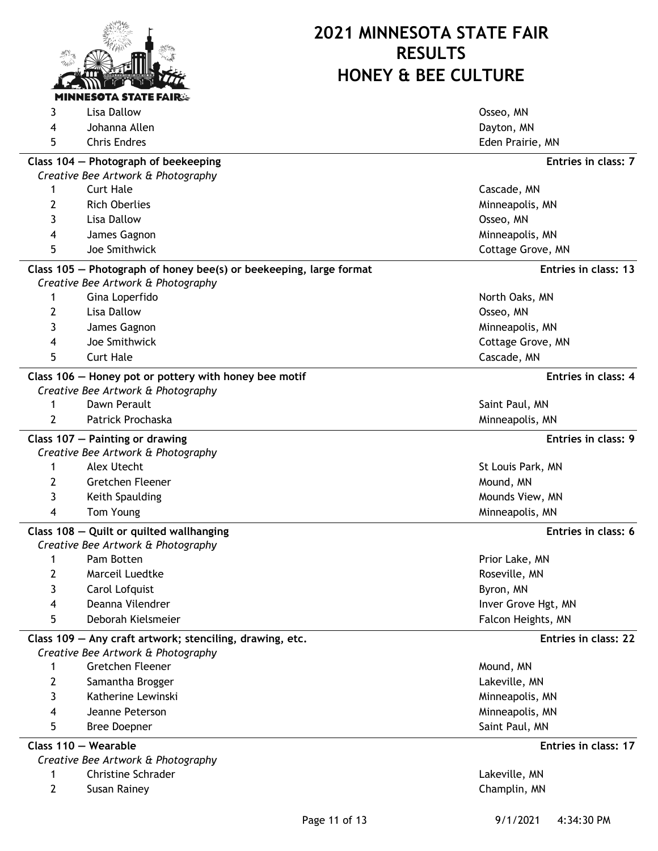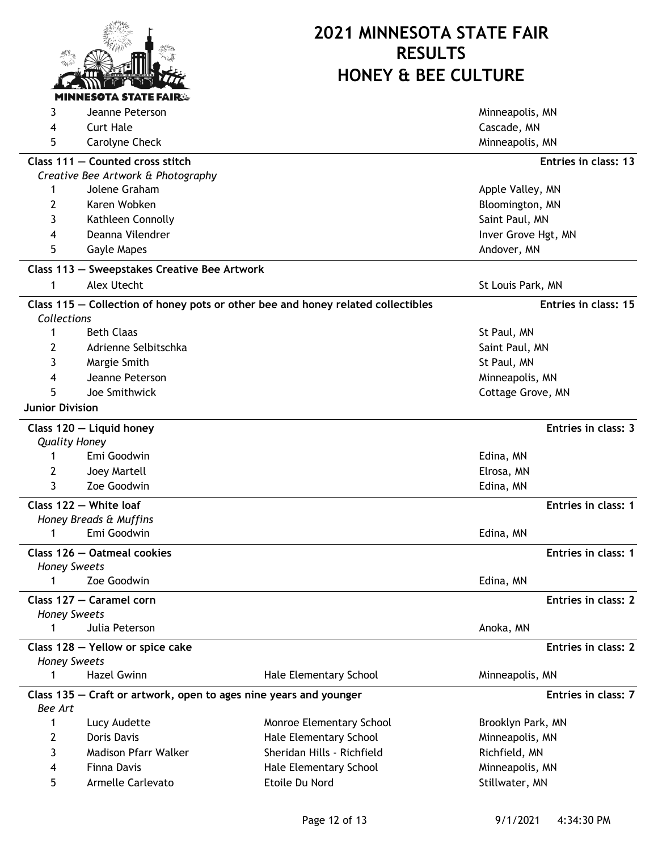

| 3                      | Jeanne Peterson                                                   |                                                                                  | Minneapolis, MN      |
|------------------------|-------------------------------------------------------------------|----------------------------------------------------------------------------------|----------------------|
| 4                      | <b>Curt Hale</b>                                                  |                                                                                  | Cascade, MN          |
| 5                      | Carolyne Check                                                    |                                                                                  | Minneapolis, MN      |
|                        | Class 111 - Counted cross stitch                                  |                                                                                  | Entries in class: 13 |
|                        | Creative Bee Artwork & Photography                                |                                                                                  |                      |
| 1                      | Jolene Graham                                                     |                                                                                  | Apple Valley, MN     |
| 2                      | Karen Wobken                                                      |                                                                                  | Bloomington, MN      |
| 3                      | Kathleen Connolly                                                 |                                                                                  | Saint Paul, MN       |
| 4                      | Deanna Vilendrer                                                  |                                                                                  | Inver Grove Hgt, MN  |
| 5                      | Gayle Mapes                                                       |                                                                                  | Andover, MN          |
|                        | Class 113 - Sweepstakes Creative Bee Artwork                      |                                                                                  |                      |
| 1                      | Alex Utecht                                                       |                                                                                  | St Louis Park, MN    |
|                        |                                                                   | Class 115 - Collection of honey pots or other bee and honey related collectibles | Entries in class: 15 |
| Collections            |                                                                   |                                                                                  |                      |
| 1                      | <b>Beth Claas</b>                                                 |                                                                                  | St Paul, MN          |
| 2                      | Adrienne Selbitschka                                              |                                                                                  | Saint Paul, MN       |
| 3                      | Margie Smith                                                      |                                                                                  | St Paul, MN          |
| 4                      | Jeanne Peterson                                                   |                                                                                  | Minneapolis, MN      |
| 5                      | Joe Smithwick                                                     |                                                                                  | Cottage Grove, MN    |
| <b>Junior Division</b> |                                                                   |                                                                                  |                      |
|                        | Class 120 - Liquid honey                                          |                                                                                  | Entries in class: 3  |
|                        | <b>Quality Honey</b>                                              |                                                                                  |                      |
| 1                      | Emi Goodwin                                                       |                                                                                  | Edina, MN            |
| 2                      | Joey Martell                                                      |                                                                                  | Elrosa, MN           |
| 3                      | Zoe Goodwin                                                       |                                                                                  | Edina, MN            |
|                        | Class 122 - White loaf                                            |                                                                                  | Entries in class: 1  |
|                        | Honey Breads & Muffins                                            |                                                                                  |                      |
| 1                      | Emi Goodwin                                                       |                                                                                  | Edina, MN            |
|                        | Class 126 - Oatmeal cookies                                       |                                                                                  | Entries in class: 1  |
| 1                      | <b>Honey Sweets</b><br>Zoe Goodwin                                |                                                                                  | Edina, MN            |
|                        | Class 127 - Caramel corn                                          |                                                                                  | Entries in class: 2  |
|                        | <b>Honey Sweets</b>                                               |                                                                                  |                      |
| 1                      | Julia Peterson                                                    |                                                                                  | Anoka, MN            |
|                        | Class 128 - Yellow or spice cake                                  |                                                                                  | Entries in class: 2  |
|                        | <b>Honey Sweets</b>                                               |                                                                                  |                      |
| 1                      | <b>Hazel Gwinn</b>                                                | Hale Elementary School                                                           | Minneapolis, MN      |
| <b>Bee Art</b>         | Class 135 – Craft or artwork, open to ages nine years and younger |                                                                                  | Entries in class: 7  |
| 1                      | Lucy Audette                                                      | Monroe Elementary School                                                         | Brooklyn Park, MN    |
| 2                      | Doris Davis                                                       | Hale Elementary School                                                           | Minneapolis, MN      |
| 3                      | Madison Pfarr Walker                                              | Sheridan Hills - Richfield                                                       | Richfield, MN        |
| 4                      | <b>Finna Davis</b>                                                | Hale Elementary School                                                           | Minneapolis, MN      |
| 5                      | Armelle Carlevato                                                 | Etoile Du Nord                                                                   | Stillwater, MN       |
|                        |                                                                   |                                                                                  |                      |